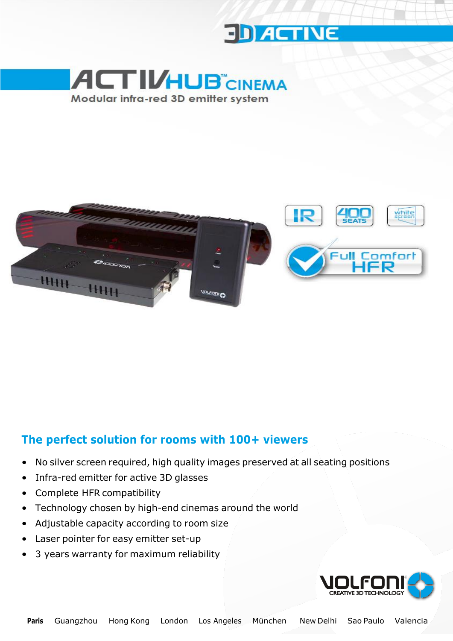





#### **The perfect solution for rooms with 100+ viewers**

- No silver screen required, high quality images preserved at all seating positions
- Infra-red emitter for active 3D glasses
- Complete HFR compatibility
- Technology chosen by high-end cinemas around the world
- Adjustable capacity according to room size
- Laser pointer for easy emitter set-up
- 3 years warranty for maximum reliability

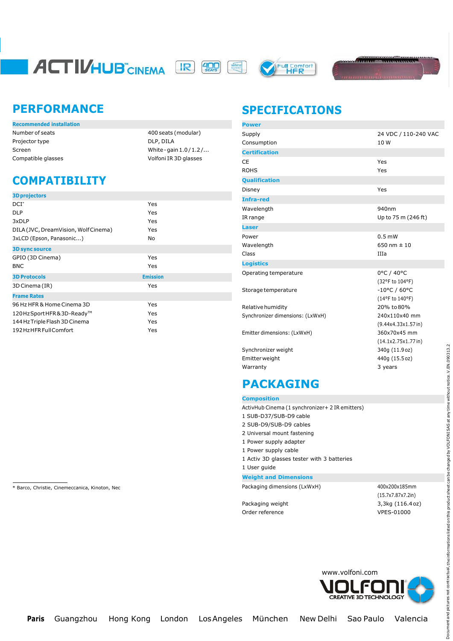# **ACTIVHUB** CINEMA R (R)





### **PERFORMANCE**

| Number of seats    |
|--------------------|
| Projector type     |
| Screen             |
| Compatible glasses |

400 seats (modular) DLP, DILA White-gain $1.0/1.2/...$ Volfoni IR 3D glasses

## **COMPATIBILITY**

| <b>3D projectors</b>                 |                 |
|--------------------------------------|-----------------|
| $DCI^*$                              | Yes             |
| <b>DLP</b>                           | Yes             |
| 3xDLP                                | Yes             |
| DILA (JVC, DreamVision, Wolf Cinema) | Yes             |
| 3xLCD (Epson, Panasonic)             | No.             |
| <b>3D sync source</b>                |                 |
| GPIO (3D Cinema)                     | Yes             |
| <b>BNC</b>                           | Yes             |
| <b>3D Protocols</b>                  | <b>Emission</b> |
| 3D Cinema (IR)                       | Yes             |
| <b>Frame Rates</b>                   |                 |
| 96 Hz HFR & Home Cinema 3D           | Yes             |
| 120HzSportHFR&3D-Ready™              | Yes             |
| 144 Hz Triple Flash 3D Cinema        | Yes             |
| 192 HzHFR Full Comfort               | Yes             |

**SPECIFICATIONS**

| <b>Power</b>                     |                                           |
|----------------------------------|-------------------------------------------|
| Supply<br>Consumption            | 24 VDC / 110-240 VAC<br>10W               |
| <b>Certification</b>             |                                           |
| CE<br><b>ROHS</b>                | Yes<br>Yes                                |
| <b>Qualification</b>             |                                           |
| Disney                           | Yes                                       |
| <b>Infra-red</b>                 |                                           |
| Wavelength<br>IR range           | 940nm<br>Up to 75 m (246 ft)              |
| <b>Laser</b>                     |                                           |
| Power<br>Wavelength<br>Class     | $0.5$ mW<br>650 nm $\pm$ 10<br>IIIa       |
| <b>Logistics</b>                 |                                           |
| Operating temperature            | 0°C / 40°C<br>(32°F to 104°F)             |
| Storage temperature              | $-10^{\circ}$ C / 60°C<br>(14°F to 140°F) |
| Relative humidity                | 20% to 80%                                |
| Synchronizer dimensions: (LxWxH) | 240x110x40 mm<br>(9.44x4.33x1.57in)       |
| Emitter dimensions: (LxWxH)      | 360x70x45 mm<br>(14.1x2.75x1.77in)        |
| Synchronizer weight              | 340g (11.9 oz)                            |
| Emitterweight                    | 440g (15.5 oz)                            |
| Warranty                         | 3 years                                   |

## **PACKAGING**

**Composition**

- ActivHub Cinema (1 synchronizer+ 2 IR emitters)
- 1 SUB-D37/SUB-D9 cable
- 2 SUB-D9/SUB-D9 cables
- 2 Universal mount fastening 1 Power supply adapter
- 1 Power supply cable
- 1 Activ 3D glasses tester with 3 batteries
- 1 User guide

#### **Weight and Dimensions**

\* Barco, Christie, Cinemeccanica, Kinoton, Nec **Packaging Contract City Contract City Packaging dimensions (LxWxH)** 400x200x185mm

(15.7x7.87x7.2in) Packaging weight 3,3kg (116.4oz) Order reference VPES-01000